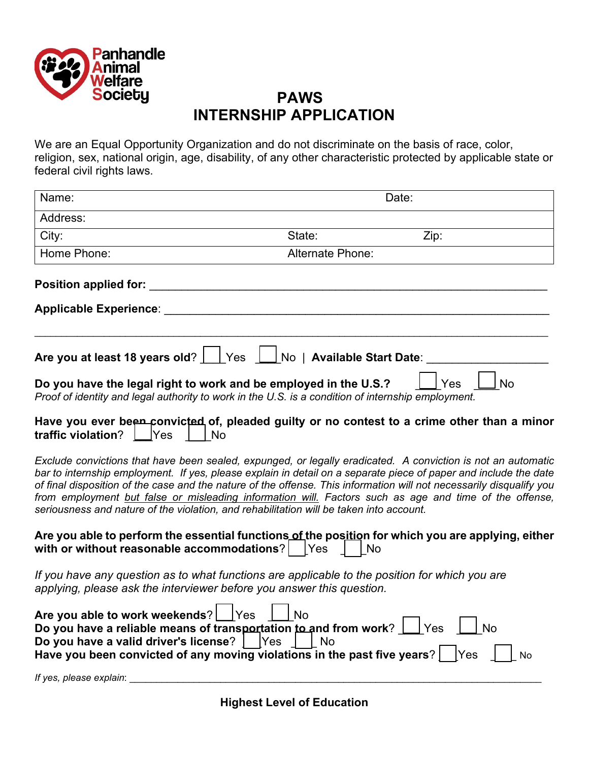

## **PAWS INTERNSHIP APPLICATION**

We are an Equal Opportunity Organization and do not discriminate on the basis of race, color, religion, sex, national origin, age, disability, of any other characteristic protected by applicable state or federal civil rights laws.

| Name:                                                                         |                                                                                                                                                                               | Date:                                                                                                                                                                                                                                                                                                                                                                                                                                                              |  |
|-------------------------------------------------------------------------------|-------------------------------------------------------------------------------------------------------------------------------------------------------------------------------|--------------------------------------------------------------------------------------------------------------------------------------------------------------------------------------------------------------------------------------------------------------------------------------------------------------------------------------------------------------------------------------------------------------------------------------------------------------------|--|
| Address:                                                                      |                                                                                                                                                                               |                                                                                                                                                                                                                                                                                                                                                                                                                                                                    |  |
| City:                                                                         | State:                                                                                                                                                                        | Zip:                                                                                                                                                                                                                                                                                                                                                                                                                                                               |  |
| Home Phone:                                                                   | Alternate Phone:                                                                                                                                                              |                                                                                                                                                                                                                                                                                                                                                                                                                                                                    |  |
| <b>Position applied for:</b>                                                  |                                                                                                                                                                               |                                                                                                                                                                                                                                                                                                                                                                                                                                                                    |  |
| <b>Applicable Experience:</b>                                                 |                                                                                                                                                                               |                                                                                                                                                                                                                                                                                                                                                                                                                                                                    |  |
|                                                                               | Are you at least 18 years old?     Yes     No   Available Start Date:                                                                                                         |                                                                                                                                                                                                                                                                                                                                                                                                                                                                    |  |
|                                                                               | Do you have the legal right to work and be employed in the U.S.?<br>Proof of identity and legal authority to work in the U.S. is a condition of internship employment.        | <b>No</b><br>Yes                                                                                                                                                                                                                                                                                                                                                                                                                                                   |  |
| traffic violation? $\Box$ Yes                                                 | No                                                                                                                                                                            | Have you ever been convicted of, pleaded guilty or no contest to a crime other than a minor                                                                                                                                                                                                                                                                                                                                                                        |  |
|                                                                               | seriousness and nature of the violation, and rehabilitation will be taken into account.                                                                                       | Exclude convictions that have been sealed, expunged, or legally eradicated. A conviction is not an automatic<br>bar to internship employment. If yes, please explain in detail on a separate piece of paper and include the date<br>of final disposition of the case and the nature of the offense. This information will not necessarily disqualify you<br>from employment but false or misleading information will. Factors such as age and time of the offense, |  |
| with or without reasonable accommodations?   Yes                              | No                                                                                                                                                                            | Are you able to perform the essential functions of the position for which you are applying, either                                                                                                                                                                                                                                                                                                                                                                 |  |
|                                                                               | If you have any question as to what functions are applicable to the position for which you are<br>applying, please ask the interviewer before you answer this question.       |                                                                                                                                                                                                                                                                                                                                                                                                                                                                    |  |
| Are you able to work weekends?   Yes<br>Do you have a valid driver's license? | <b>No</b><br>Do you have a reliable means of transportation to and from work?<br><b>No</b><br>Yes<br>Have you been convicted of any moving violations in the past five years? | Yes<br><b>No</b><br> Yes<br>No                                                                                                                                                                                                                                                                                                                                                                                                                                     |  |
| If yes, please explain:                                                       |                                                                                                                                                                               |                                                                                                                                                                                                                                                                                                                                                                                                                                                                    |  |

**Highest Level of Education**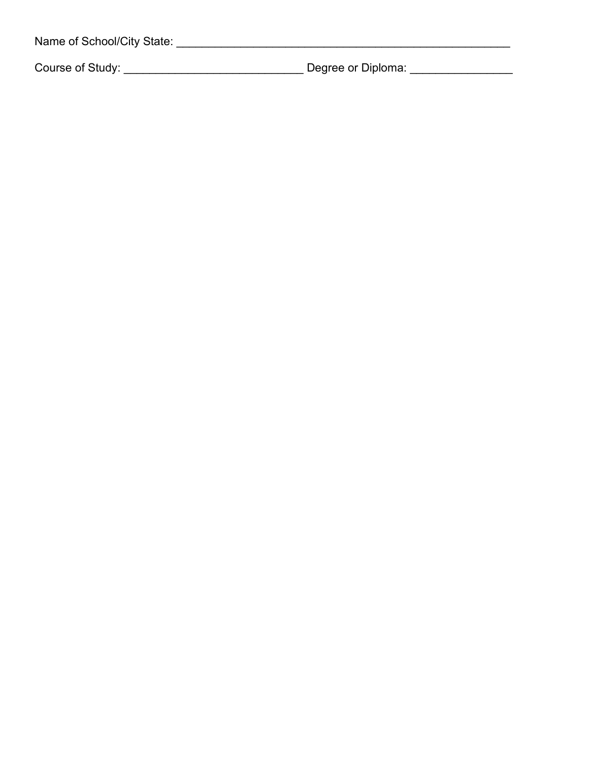| Name of School/City State: |                    |  |
|----------------------------|--------------------|--|
| Course of Study:           | Degree or Diploma: |  |